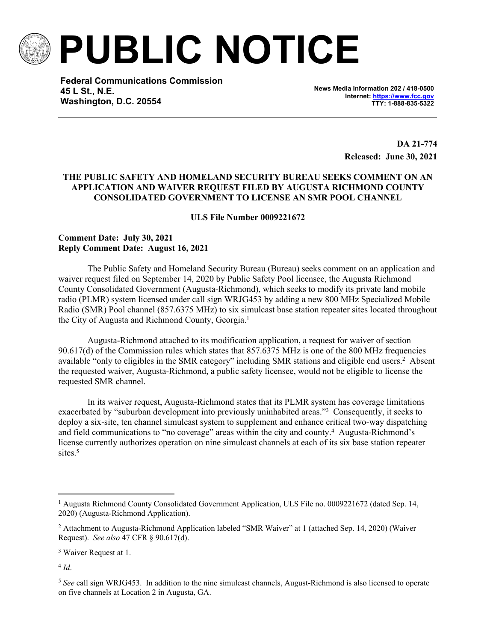

**PUBLIC NOTICE**

**Federal Communications Commission 45 L St., N.E. Washington, D.C. 20554**

**News Media Information 202 / 418-0500 Internet:<https://www.fcc.gov> TTY: 1-888-835-5322**

> **DA 21-774 Released: June 30, 2021**

## **THE PUBLIC SAFETY AND HOMELAND SECURITY BUREAU SEEKS COMMENT ON AN APPLICATION AND WAIVER REQUEST FILED BY AUGUSTA RICHMOND COUNTY CONSOLIDATED GOVERNMENT TO LICENSE AN SMR POOL CHANNEL**

**ULS File Number 0009221672**

## **Comment Date: July 30, 2021 Reply Comment Date: August 16, 2021**

The Public Safety and Homeland Security Bureau (Bureau) seeks comment on an application and waiver request filed on September 14, 2020 by Public Safety Pool licensee, the Augusta Richmond County Consolidated Government (Augusta-Richmond), which seeks to modify its private land mobile radio (PLMR) system licensed under call sign WRJG453 by adding a new 800 MHz Specialized Mobile Radio (SMR) Pool channel (857.6375 MHz) to six simulcast base station repeater sites located throughout the City of Augusta and Richmond County, Georgia.<sup>1</sup>

Augusta-Richmond attached to its modification application, a request for waiver of section 90.617(d) of the Commission rules which states that 857.6375 MHz is one of the 800 MHz frequencies available "only to eligibles in the SMR category" including SMR stations and eligible end users.<sup>2</sup> Absent the requested waiver, Augusta-Richmond, a public safety licensee, would not be eligible to license the requested SMR channel.

In its waiver request, Augusta-Richmond states that its PLMR system has coverage limitations exacerbated by "suburban development into previously uninhabited areas."<sup>3</sup> Consequently, it seeks to deploy a six-site, ten channel simulcast system to supplement and enhance critical two-way dispatching and field communications to "no coverage" areas within the city and county.<sup>4</sup> Augusta-Richmond's license currently authorizes operation on nine simulcast channels at each of its six base station repeater sites.<sup>5</sup>

4 *Id*.

<sup>&</sup>lt;sup>1</sup> Augusta Richmond County Consolidated Government Application, ULS File no. 0009221672 (dated Sep. 14, 2020) (Augusta-Richmond Application).

<sup>&</sup>lt;sup>2</sup> Attachment to Augusta-Richmond Application labeled "SMR Waiver" at 1 (attached Sep. 14, 2020) (Waiver Request). *See also* 47 CFR § 90.617(d).

<sup>&</sup>lt;sup>3</sup> Waiver Request at 1.

<sup>5</sup> *See* call sign WRJG453. In addition to the nine simulcast channels, August-Richmond is also licensed to operate on five channels at Location 2 in Augusta, GA.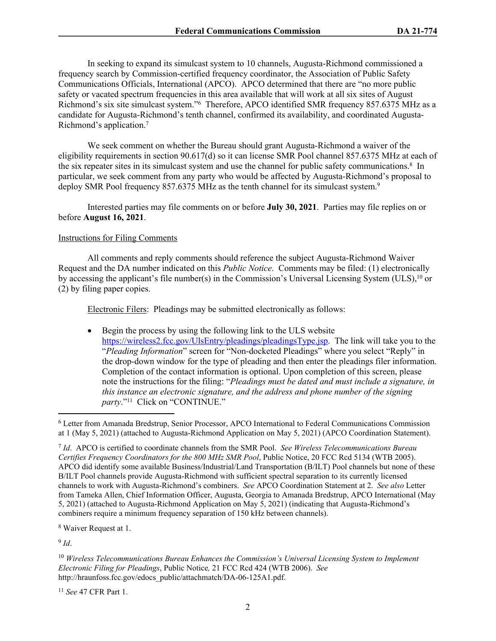In seeking to expand its simulcast system to 10 channels, Augusta-Richmond commissioned a frequency search by Commission-certified frequency coordinator, the Association of Public Safety Communications Officials, International (APCO). APCO determined that there are "no more public safety or vacated spectrum frequencies in this area available that will work at all six sites of August Richmond's six site simulcast system."<sup>6</sup> Therefore, APCO identified SMR frequency 857.6375 MHz as a candidate for Augusta-Richmond's tenth channel, confirmed its availability, and coordinated Augusta-Richmond's application.<sup>7</sup>

We seek comment on whether the Bureau should grant Augusta-Richmond a waiver of the eligibility requirements in section 90.617(d) so it can license SMR Pool channel 857.6375 MHz at each of the six repeater sites in its simulcast system and use the channel for public safety communications.<sup>8</sup> In particular, we seek comment from any party who would be affected by Augusta-Richmond's proposal to deploy SMR Pool frequency 857.6375 MHz as the tenth channel for its simulcast system.<sup>9</sup>

Interested parties may file comments on or before **July 30, 2021**. Parties may file replies on or before **August 16, 2021**.

## Instructions for Filing Comments

All comments and reply comments should reference the subject Augusta-Richmond Waiver Request and the DA number indicated on this *Public Notice*. Comments may be filed: (1) electronically by accessing the applicant's file number(s) in the Commission's Universal Licensing System (ULS),<sup>10</sup> or (2) by filing paper copies.

Electronic Filers: Pleadings may be submitted electronically as follows:

 Begin the process by using the following link to the ULS website [https://wireless2.fcc.gov/UlsEntry/pleadings/pleadingsType.jsp.](https://wireless2.fcc.gov/UlsEntry/pleadings/pleadingsType.jsp) The link will take you to the "*Pleading Information*" screen for "Non-docketed Pleadings" where you select "Reply" in the drop-down window for the type of pleading and then enter the pleadings filer information. Completion of the contact information is optional. Upon completion of this screen, please note the instructions for the filing: "*Pleadings must be dated and must include a signature, in this instance an electronic signature, and the address and phone number of the signing*  party."<sup>11</sup> Click on "CONTINUE."

8 Waiver Request at 1.

9 *Id*.

<sup>11</sup> *See* 47 CFR Part 1.

<sup>6</sup> Letter from Amanada Bredstrup, Senior Processor, APCO International to Federal Communications Commission at 1 (May 5, 2021) (attached to Augusta-Richmond Application on May 5, 2021) (APCO Coordination Statement).

<sup>7</sup> *Id*. APCO is certified to coordinate channels from the SMR Pool. *See Wireless Telecommunications Bureau Certifies Frequency Coordinators for the 800 MHz SMR Pool*, Public Notice, 20 FCC Rcd 5134 (WTB 2005). APCO did identify some available Business/Industrial/Land Transportation (B/ILT) Pool channels but none of these B/ILT Pool channels provide Augusta-Richmond with sufficient spectral separation to its currently licensed channels to work with Augusta-Richmond's combiners. *See* APCO Coordination Statement at 2. *See also* Letter from Tameka Allen, Chief Information Officer, Augusta, Georgia to Amanada Bredstrup, APCO International (May 5, 2021) (attached to Augusta-Richmond Application on May 5, 2021) (indicating that Augusta-Richmond's combiners require a minimum frequency separation of 150 kHz between channels).

<sup>10</sup> *Wireless Telecommunications Bureau Enhances the Commission's Universal Licensing System to Implement Electronic Filing for Pleadings*, Public Notice*,* 21 FCC Rcd 424 (WTB 2006). *See*  http://hraunfoss.fcc.gov/edocs\_public/attachmatch/DA-06-125A1.pdf.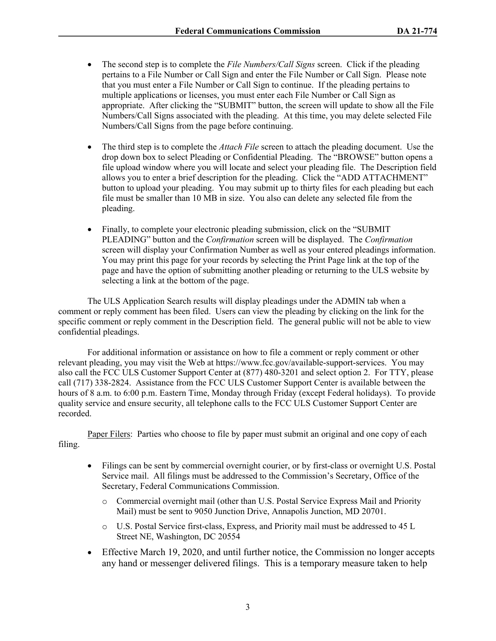- The second step is to complete the *File Numbers/Call Signs* screen. Click if the pleading pertains to a File Number or Call Sign and enter the File Number or Call Sign. Please note that you must enter a File Number or Call Sign to continue. If the pleading pertains to multiple applications or licenses, you must enter each File Number or Call Sign as appropriate. After clicking the "SUBMIT" button, the screen will update to show all the File Numbers/Call Signs associated with the pleading. At this time, you may delete selected File Numbers/Call Signs from the page before continuing.
- The third step is to complete the *Attach File* screen to attach the pleading document. Use the drop down box to select Pleading or Confidential Pleading. The "BROWSE" button opens a file upload window where you will locate and select your pleading file. The Description field allows you to enter a brief description for the pleading. Click the "ADD ATTACHMENT" button to upload your pleading. You may submit up to thirty files for each pleading but each file must be smaller than 10 MB in size. You also can delete any selected file from the pleading.
- Finally, to complete your electronic pleading submission, click on the "SUBMIT" PLEADING" button and the *Confirmation* screen will be displayed. The *Confirmation* screen will display your Confirmation Number as well as your entered pleadings information. You may print this page for your records by selecting the Print Page link at the top of the page and have the option of submitting another pleading or returning to the ULS website by selecting a link at the bottom of the page.

The ULS Application Search results will display pleadings under the ADMIN tab when a comment or reply comment has been filed. Users can view the pleading by clicking on the link for the specific comment or reply comment in the Description field. The general public will not be able to view confidential pleadings.

For additional information or assistance on how to file a comment or reply comment or other relevant pleading, you may visit the Web at https://www.fcc.gov/available-support-services. You may also call the FCC ULS Customer Support Center at (877) 480-3201 and select option 2. For TTY, please call (717) 338-2824. Assistance from the FCC ULS Customer Support Center is available between the hours of 8 a.m. to 6:00 p.m. Eastern Time, Monday through Friday (except Federal holidays). To provide quality service and ensure security, all telephone calls to the FCC ULS Customer Support Center are recorded.

Paper Filers: Parties who choose to file by paper must submit an original and one copy of each filing.

- Filings can be sent by commercial overnight courier, or by first-class or overnight U.S. Postal Service mail. All filings must be addressed to the Commission's Secretary, Office of the Secretary, Federal Communications Commission.
	- o Commercial overnight mail (other than U.S. Postal Service Express Mail and Priority Mail) must be sent to 9050 Junction Drive, Annapolis Junction, MD 20701.
	- o U.S. Postal Service first-class, Express, and Priority mail must be addressed to 45 L Street NE, Washington, DC 20554
- Effective March 19, 2020, and until further notice, the Commission no longer accepts any hand or messenger delivered filings. This is a temporary measure taken to help